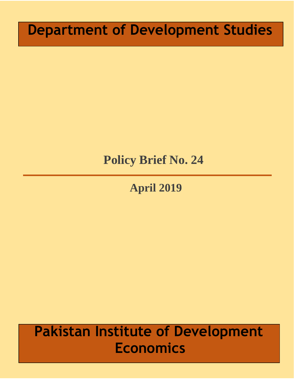# **Department of Development Studies**

# **Policy Brief No. 24**

# **April 2019**

# **Pakistan Institute of Development Economics**